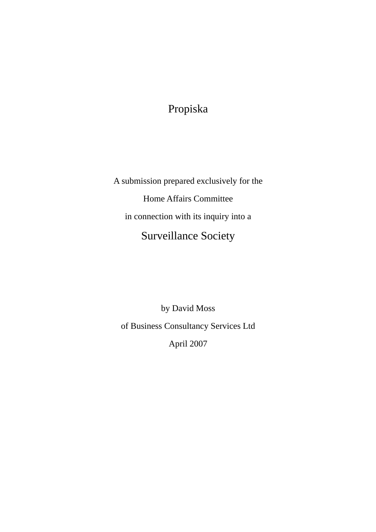## Propiska

A submission prepared exclusively for the Home Affairs Committee in connection with its inquiry into a Surveillance Society

by David Moss of Business Consultancy Services Ltd April 2007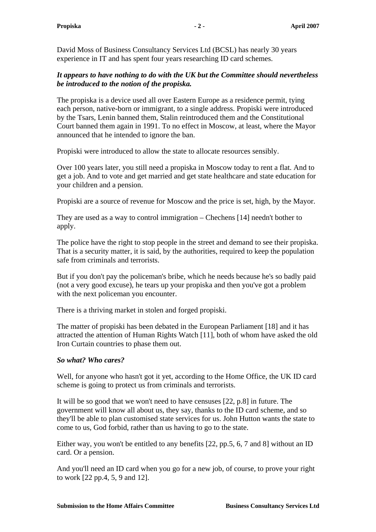David Moss of Business Consultancy Services Ltd (BCSL) has nearly 30 years experience in IT and has spent four years researching ID card schemes.

## *It appears to have nothing to do with the UK but the Committee should nevertheless be introduced to the notion of the propiska.*

The propiska is a device used all over Eastern Europe as a residence permit, tying each person, native-born or immigrant, to a single address. Propiski were introduced by the Tsars, Lenin banned them, Stalin reintroduced them and the Constitutional Court banned them again in 1991. To no effect in Moscow, at least, where the Mayor announced that he intended to ignore the ban.

Propiski were introduced to allow the state to allocate resources sensibly.

Over 100 years later, you still need a propiska in Moscow today to rent a flat. And to get a job. And to vote and get married and get state healthcare and state education for your children and a pension.

Propiski are a source of revenue for Moscow and the price is set, high, by the Mayor.

They are used as a way to control immigration – Chechens [14] needn't bother to apply.

The police have the right to stop people in the street and demand to see their propiska. That is a security matter, it is said, by the authorities, required to keep the population safe from criminals and terrorists.

But if you don't pay the policeman's bribe, which he needs because he's so badly paid (not a very good excuse), he tears up your propiska and then you've got a problem with the next policeman you encounter.

There is a thriving market in stolen and forged propiski.

The matter of propiski has been debated in the European Parliament [18] and it has attracted the attention of Human Rights Watch [11], both of whom have asked the old Iron Curtain countries to phase them out.

## *So what? Who cares?*

Well, for anyone who hasn't got it yet, according to the Home Office, the UK ID card scheme is going to protect us from criminals and terrorists.

It will be so good that we won't need to have censuses [22, p.8] in future. The government will know all about us, they say, thanks to the ID card scheme, and so they'll be able to plan customised state services for us. John Hutton wants the state to come to us, God forbid, rather than us having to go to the state.

Either way, you won't be entitled to any benefits [22, pp.5, 6, 7 and 8] without an ID card. Or a pension.

And you'll need an ID card when you go for a new job, of course, to prove your right to work [22 pp.4, 5, 9 and 12].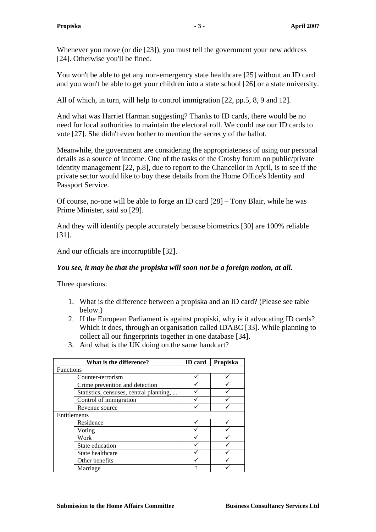Whenever you move (or die [23]), you must tell the government your new address [24]. Otherwise you'll be fined.

You won't be able to get any non-emergency state healthcare [25] without an ID card and you won't be able to get your children into a state school [26] or a state university.

All of which, in turn, will help to control immigration [22, pp.5, 8, 9 and 12].

And what was Harriet Harman suggesting? Thanks to ID cards, there would be no need for local authorities to maintain the electoral roll. We could use our ID cards to vote [27]. She didn't even bother to mention the secrecy of the ballot.

Meanwhile, the government are considering the appropriateness of using our personal details as a source of income. One of the tasks of the Crosby forum on public/private identity management [22, p.8], due to report to the Chancellor in April, is to see if the private sector would like to buy these details from the Home Office's Identity and Passport Service.

Of course, no-one will be able to forge an ID card [28] – Tony Blair, while he was Prime Minister, said so [29].

And they will identify people accurately because biometrics [30] are 100% reliable [31].

And our officials are incorruptible [32].

## *You see, it may be that the propiska will soon not be a foreign notion, at all.*

Three questions:

- 1. What is the difference between a propiska and an ID card? (Please see table below.)
- 2. If the European Parliament is against propiski, why is it advocating ID cards? Which it does, through an organisation called IDABC [33]. While planning to collect all our fingerprints together in one database [34].
- 3. And what is the UK doing on the same handcart?

| What is the difference?                 | <b>ID</b> card | Propiska |
|-----------------------------------------|----------------|----------|
| <b>Functions</b>                        |                |          |
| Counter-terrorism                       |                |          |
| Crime prevention and detection          |                |          |
| Statistics, censuses, central planning, |                |          |
| Control of immigration                  |                |          |
| Revenue source                          |                |          |
| Entitlements                            |                |          |
| Residence                               |                |          |
| Voting                                  |                |          |
| Work                                    |                |          |
| State education                         |                |          |
| State healthcare                        |                |          |
| Other benefits                          |                |          |
| Marriage                                | ິດ             |          |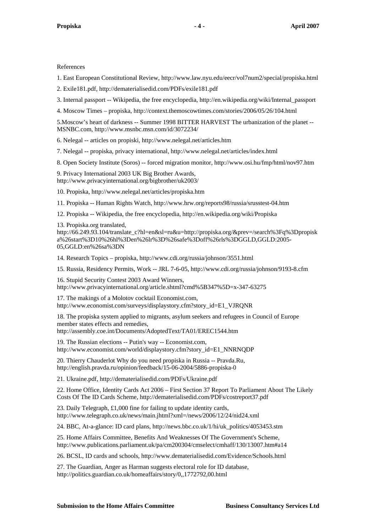References

1. East European Constitutional Review, http://www.law.nyu.edu/eecr/vol7num2/special/propiska.html

2. Exile181.pdf, http://dematerialisedid.com/PDFs/exile181.pdf

3. Internal passport -- Wikipedia, the free encyclopedia, http://en.wikipedia.org/wiki/Internal\_passport

4. Moscow Times – propiska, http://context.themoscowtimes.com/stories/2006/05/26/104.html

5.Moscow's heart of darkness -- Summer 1998 BITTER HARVEST The urbanization of the planet -- MSNBC.com, http://www.msnbc.msn.com/id/3072234/

6. Nelegal -- articles on propiski, http://www.nelegal.net/articles.htm

7. Nelegal -- propiska, privacy international, http://www.nelegal.net/articles/index.html

8. Open Society Institute (Soros) -- forced migration monitor, http://www.osi.hu/fmp/html/nov97.htm

9. Privacy International 2003 UK Big Brother Awards, http://www.privacyinternational.org/bigbrother/uk2003/

10. Propiska, http://www.nelegal.net/articles/propiska.htm

11. Propiska -- Human Rights Watch, http://www.hrw.org/reports98/russia/srusstest-04.htm

12. Propiska -- Wikipedia, the free encyclopedia, http://en.wikipedia.org/wiki/Propiska

13. Propiska.org translated,

http://66.249.93.104/translate\_c?hl=en&sl=ru&u=http://propiska.org/&prev=/search%3Fq%3Dpropisk a%26start%3D10%26hl%3Den%26lr%3D%26safe%3Doff%26rls%3DGGLD,GGLD:2005- 05,GGLD:en%26sa%3DN

14. Research Topics – propiska, http://www.cdi.org/russia/johnson/3551.html

15. Russia, Residency Permits, Work -- JRL 7-6-05, http://www.cdi.org/russia/johnson/9193-8.cfm

16. Stupid Security Contest 2003 Award Winners, http://www.privacyinternational.org/article.shtml?cmd%5B347%5D=x-347-63275

17. The makings of a Molotov cocktail Economist.com, http://www.economist.com/surveys/displaystory.cfm?story\_id=E1\_VJRQNR

18. The propiska system applied to migrants, asylum seekers and refugees in Council of Europe member states effects and remedies, http://assembly.coe.int/Documents/AdoptedText/TA01/EREC1544.htm

19. The Russian elections -- Putin's way -- Economist.com, http://www.economist.com/world/displaystory.cfm?story\_id=E1\_NNRNQDP

20. Thierry Chauderlot Why do you need propiska in Russia -- Pravda.Ru, http://english.pravda.ru/opinion/feedback/15-06-2004/5886-propiska-0

21. Ukraine.pdf, http://dematerialisedid.com/PDFs/Ukraine.pdf

22. Home Office, Identity Cards Act 2006 – First Section 37 Report To Parliament About The Likely Costs Of The ID Cards Scheme, http://dematerialisedid.com/PDFs/costreport37.pdf

23. Daily Telegraph, £1,000 fine for failing to update identity cards, http://www.telegraph.co.uk/news/main.jhtml?xml=/news/2006/12/24/nid24.xml

24. BBC, At-a-glance: ID card plans, http://news.bbc.co.uk/1/hi/uk\_politics/4053453.stm

25. Home Affairs Committee, Benefits And Weaknesses Of The Government's Scheme, http://www.publications.parliament.uk/pa/cm200304/cmselect/cmhaff/130/13007.htm#a14

26. BCSL, ID cards and schools, http://www.dematerialisedid.com/Evidence/Schools.html

27. The Guardian, Anger as Harman suggests electoral role for ID database, http://politics.guardian.co.uk/homeaffairs/story/0,,1772792,00.html